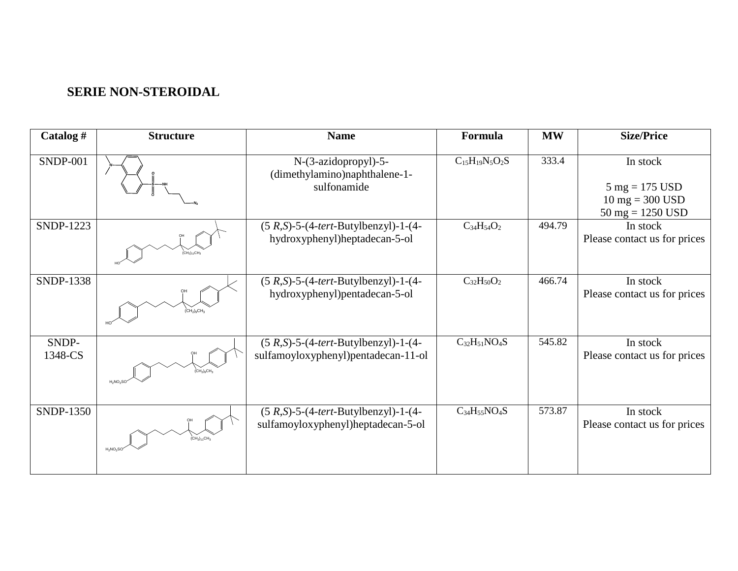## **SERIE NON-STEROIDAL**

| Catalog #        | <b>Structure</b>                                           | <b>Name</b>                                                                   | Formula               | <b>MW</b> | <b>Size/Price</b>                                                                                                       |
|------------------|------------------------------------------------------------|-------------------------------------------------------------------------------|-----------------------|-----------|-------------------------------------------------------------------------------------------------------------------------|
| <b>SNDP-001</b>  |                                                            | N-(3-azidopropyl)-5-<br>(dimethylamino)naphthalene-1-<br>sulfonamide          | $C_{15}H_{19}N_5O_2S$ | 333.4     | In stock<br>$5 \text{ mg} = 175 \text{ USD}$<br>$10 \text{ mg} = 300 \text{ USD}$<br>$50 \text{ mg} = 1250 \text{ USD}$ |
| <b>SNDP-1223</b> |                                                            | $(5 R,S)-5-(4-tert-Butylbenzyl)-1-(4-$<br>hydroxyphenyl)heptadecan-5-ol       | $C_{34}H_{54}O_2$     | 494.79    | In stock<br>Please contact us for prices                                                                                |
| <b>SNDP-1338</b> | $\rm (CH_2)_9CH_2$                                         | $(5 R,S)-5-(4-tert-Butylbenzyl)-1-(4-$<br>hydroxyphenyl)pentadecan-5-ol       | $C_{32}H_{50}O_2$     | 466.74    | In stock<br>Please contact us for prices                                                                                |
| SNDP-<br>1348-CS | $\overline{\text{CH}_2}\text{)}_9\text{CH}$<br>$H_2NO_2SC$ | $(5 R,S)-5-(4-tert-Butylbenzyl)-1-(4-$<br>sulfamoyloxyphenyl)pentadecan-11-ol | $C_{32}H_{51}NO_4S$   | 545.82    | In stock<br>Please contact us for prices                                                                                |
| SNDP-1350        | .<br>CH2)11CH<br>$H_2NO_2S0$                               | $(5 R,S)-5-(4-tert-Butylbenzyl)-1-(4-$<br>sulfamoyloxyphenyl)heptadecan-5-ol  | $C_{34}H_{55}NO_4S$   | 573.87    | In stock<br>Please contact us for prices                                                                                |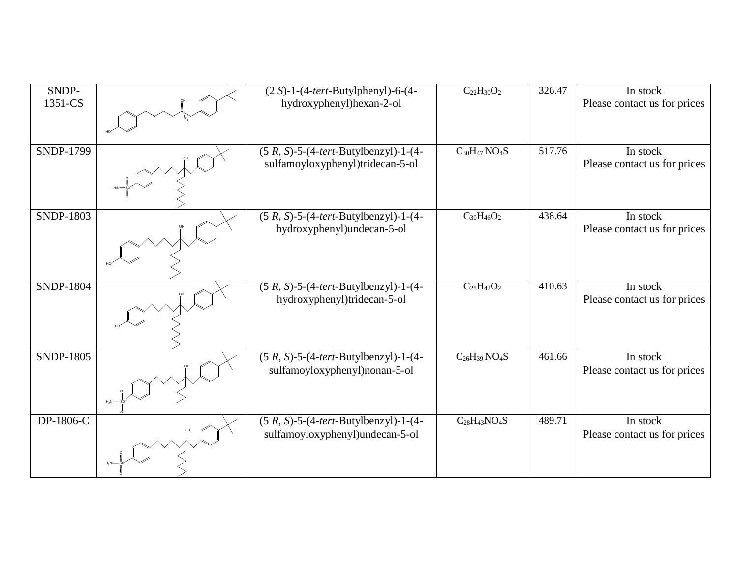| SNDP-<br>1351-CS | $(2 S)-1-(4-tert-Butylphenyl)-6-(4-$<br>hydroxyphenyl)hexan-2-ol            | $C_{22}H_{30}O_2$                | 326.47 | In stock<br>Please contact us for prices |
|------------------|-----------------------------------------------------------------------------|----------------------------------|--------|------------------------------------------|
|                  |                                                                             |                                  |        |                                          |
| SNDP-1799        | $(5 R, S)-5-(4-tert-Butylbenzyl)-1-(4-$<br>sulfamoyloxyphenyl)tridecan-5-ol | $C_{30}H_{47}NO_4S$              | 517.76 | In stock<br>Please contact us for prices |
| <b>SNDP-1803</b> | $(5 R, S)-5-(4-tert-Butylbenzyl)-1-(4-$<br>hydroxyphenyl)undecan-5-ol       | $C_{30}H_{46}O_2$                | 438.64 | In stock<br>Please contact us for prices |
| <b>SNDP-1804</b> | $(5 R, S)-5-(4-tert-Butylbenzyl)-1-(4-$<br>hydroxyphenyl)tridecan-5-ol      | $C_{28}H_{42}O_2$                | 410.63 | In stock<br>Please contact us for prices |
| <b>SNDP-1805</b> | $(5 R, S)-5-(4-tert-Butylbenzyl)-1-(4-$<br>sulfamoyloxyphenyl)nonan-5-ol    | $C_{26}H_{39}$ NO <sub>4</sub> S | 461.66 | In stock<br>Please contact us for prices |
| DP-1806-C        | $(5 R, S)-5-(4-tert-Butylbenzyl)-1-(4-$<br>sulfamoyloxyphenyl)undecan-5-ol  | $C_{28}H_{43}NO_4S$              | 489.71 | In stock<br>Please contact us for prices |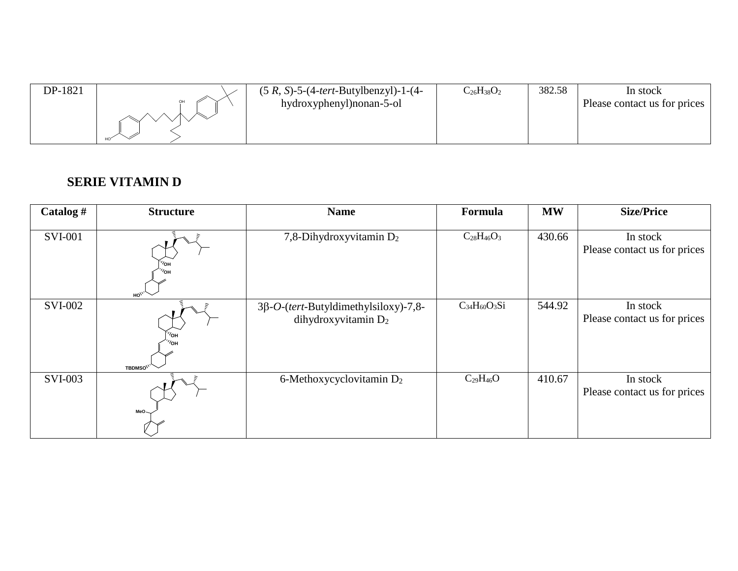| DP-1821 | $(5 R, S)-5-(4-tert-Butylbenzyl)-1-(4-$<br>hydroxyphenyl) nonan-5-ol | $C_{26}H_{38}O_2$ | 382.58 | In stock<br>Please contact us for prices |
|---------|----------------------------------------------------------------------|-------------------|--------|------------------------------------------|
|         |                                                                      |                   |        |                                          |

## **SERIE VITAMIN D**

| Catalog #      | <b>Structure</b>                   | <b>Name</b>                                                           | Formula             | <b>MW</b> | <b>Size/Price</b>                        |
|----------------|------------------------------------|-----------------------------------------------------------------------|---------------------|-----------|------------------------------------------|
| <b>SVI-001</b> | ′он<br>⁄он<br>HO <sub>1</sub>      | 7,8-Dihydroxyvitamin D <sub>2</sub>                                   | $C_{28}H_{46}O_3$   | 430.66    | In stock<br>Please contact us for prices |
| <b>SVI-002</b> | ′он<br><b>TBDMSO<sup>\\'</sup></b> | $3\beta$ -O-(tert-Butyldimethylsiloxy)-7,8-<br>dihydroxyvitamin $D_2$ | $C_{34}H_{60}O_3Si$ | 544.92    | In stock<br>Please contact us for prices |
| <b>SVI-003</b> | $MeO-$                             | 6-Methoxycyclovitamin $D_2$                                           | $C_{29}H_{46}O$     | 410.67    | In stock<br>Please contact us for prices |